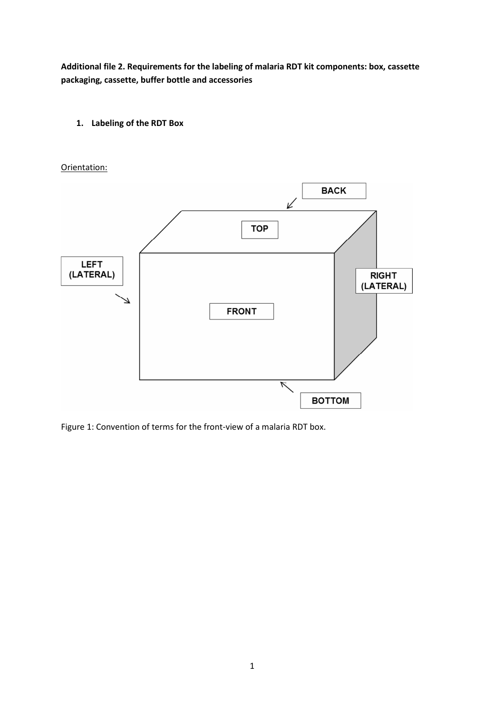**Additional file 2. Requirements for the labeling of malaria RDT kit components: box, cassette packaging, cassette, buffer bottle and accessories** 

**1. Labeling of the RDT Box** 

Orientation:



Figure 1: Convention of terms for the front-view of a malaria RDT box.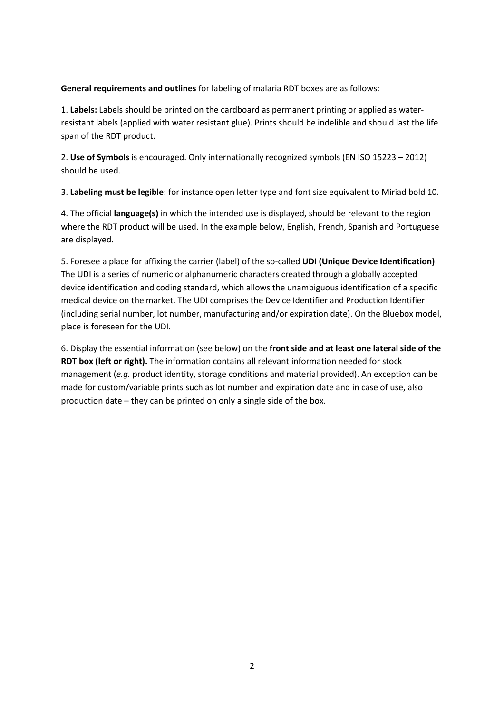**General requirements and outlines** for labeling of malaria RDT boxes are as follows:

1. **Labels:** Labels should be printed on the cardboard as permanent printing or applied as waterresistant labels (applied with water resistant glue). Prints should be indelible and should last the life span of the RDT product.

2. **Use of Symbols** is encouraged. Only internationally recognized symbols (EN ISO 15223 – 2012) should be used.

3. **Labeling must be legible**: for instance open letter type and font size equivalent to Miriad bold 10.

4. The official **language(s)** in which the intended use is displayed, should be relevant to the region where the RDT product will be used. In the example below, English, French, Spanish and Portuguese are displayed.

5. Foresee a place for affixing the carrier (label) of the so-called **UDI (Unique Device Identification)**. The UDI is a series of numeric or alphanumeric characters created through a globally accepted device identification and coding standard, which allows the unambiguous identification of a specific medical device on the market. The UDI comprises the Device Identifier and Production Identifier (including serial number, lot number, manufacturing and/or expiration date). On the Bluebox model, place is foreseen for the UDI.

6. Display the essential information (see below) on the **front side and at least one lateral side of the RDT box (left or right).** The information contains all relevant information needed for stock management (*e.g.* product identity, storage conditions and material provided). An exception can be made for custom/variable prints such as lot number and expiration date and in case of use, also production date – they can be printed on only a single side of the box.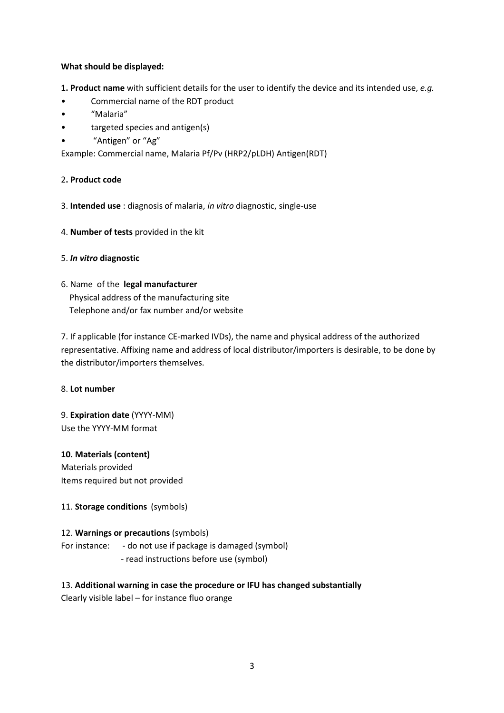#### **What should be displayed:**

**1. Product name** with sufficient details for the user to identify the device and its intended use, *e.g.*

- Commercial name of the RDT product
- "Malaria"
- targeted species and antigen(s)
- "Antigen" or "Ag"

Example: Commercial name, Malaria Pf/Pv (HRP2/pLDH) Antigen(RDT)

## 2**. Product code**

- 3. **Intended use** : diagnosis of malaria, *in vitro* diagnostic, single-use
- 4. **Number of tests** provided in the kit
- 5. *In vitro* **diagnostic**
- 6. Name of the **legal manufacturer** Physical address of the manufacturing site Telephone and/or fax number and/or website

7. If applicable (for instance CE-marked IVDs), the name and physical address of the authorized representative. Affixing name and address of local distributor/importers is desirable, to be done by the distributor/importers themselves.

## 8. **Lot number**

9. **Expiration date** (YYYY-MM) Use the YYYY-MM format

**10. Materials (content)**  Materials provided Items required but not provided

## 11. **Storage conditions** (symbols)

## 12. **Warnings or precautions** (symbols)

For instance: - do not use if package is damaged (symbol) - read instructions before use (symbol)

## 13. **Additional warning in case the procedure or IFU has changed substantially**

Clearly visible label – for instance fluo orange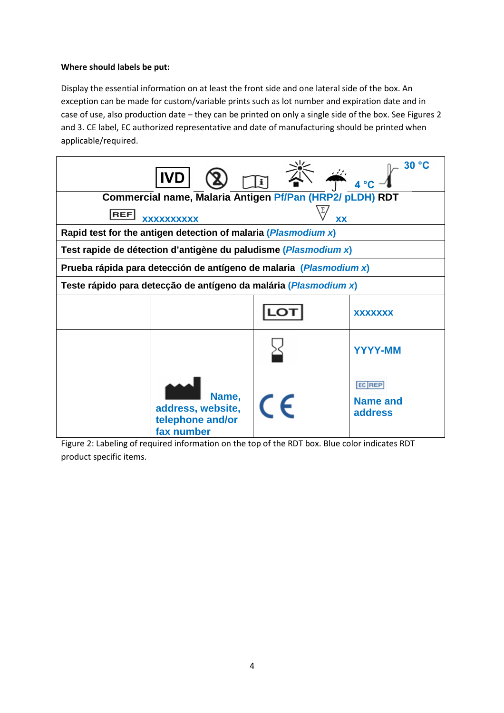## **Where should labels be put:**

Display the essential information on at least the front side and one lateral side of the box. An exception can be made for custom/variable prints such as lot number and expiration date and in case of use, also production date – they can be printed on only a single side of the box. See Figures 2 and 3. CE label, EC authorized representative and date of manufacturing should be printed when applicable/required.



Figure 2: Labeling of required information on the top of the RDT box. Blue color indicates RDT product specific items.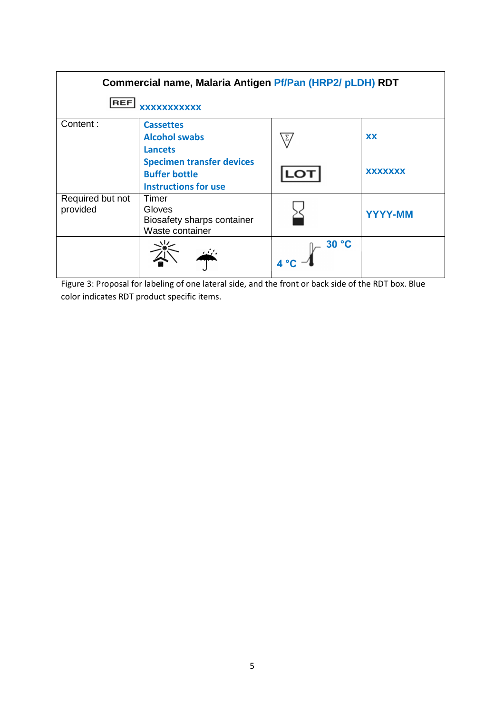| Commercial name, Malaria Antigen Pf/Pan (HRP2/ pLDH) RDT |                                                                                         |                |                |  |  |  |
|----------------------------------------------------------|-----------------------------------------------------------------------------------------|----------------|----------------|--|--|--|
| <b>REF</b><br>xxxxxxxxxxx                                |                                                                                         |                |                |  |  |  |
| Content:                                                 | <b>Cassettes</b><br><b>Alcohol swabs</b><br><b>Lancets</b>                              |                | <b>XX</b>      |  |  |  |
|                                                          | <b>Specimen transfer devices</b><br><b>Buffer bottle</b><br><b>Instructions for use</b> |                | <b>XXXXXXX</b> |  |  |  |
| Required but not<br>provided                             | Timer<br>Gloves<br>Biosafety sharps container<br>Waste container                        |                | <b>YYYY-MM</b> |  |  |  |
|                                                          |                                                                                         | $-30 °C$<br>4° |                |  |  |  |

Figure 3: Proposal for labeling of one lateral side, and the front or back side of the RDT box. Blue color indicates RDT product specific items.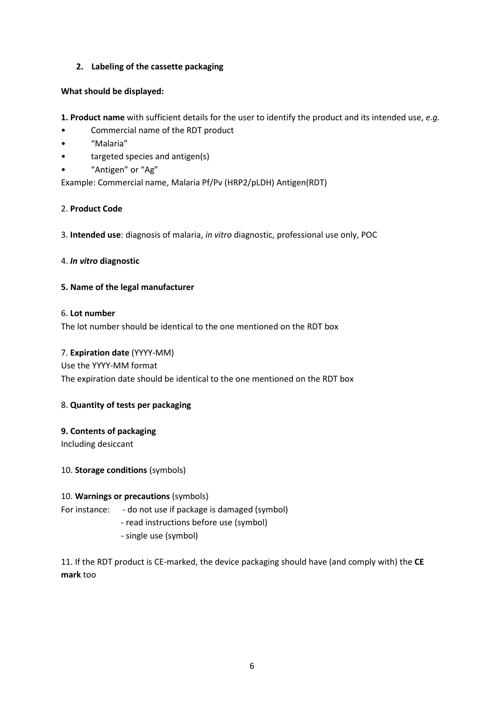## **2. Labeling of the cassette packaging**

## **What should be displayed:**

- **1. Product name** with sufficient details for the user to identify the product and its intended use, *e.g.*
- Commercial name of the RDT product
- "Malaria"
- targeted species and antigen(s)
- "Antigen" or "Ag"

Example: Commercial name, Malaria Pf/Pv (HRP2/pLDH) Antigen(RDT)

## 2. **Product Code**

3. **Intended use**: diagnosis of malaria, *in vitro* diagnostic, professional use only, POC

## 4. *In vitro* **diagnostic**

## **5. Name of the legal manufacturer**

## 6. **Lot number**

The lot number should be identical to the one mentioned on the RDT box

## 7. **Expiration date** (YYYY-MM)

Use the YYYY-MM format The expiration date should be identical to the one mentioned on the RDT box

# 8. **Quantity of tests per packaging**

# **9. Contents of packaging**

Including desiccant

10. **Storage conditions** (symbols)

## 10. **Warnings or precautions** (symbols)

For instance: - do not use if package is damaged (symbol)

- read instructions before use (symbol)
- single use (symbol)

11. If the RDT product is CE-marked, the device packaging should have (and comply with) the **CE mark** too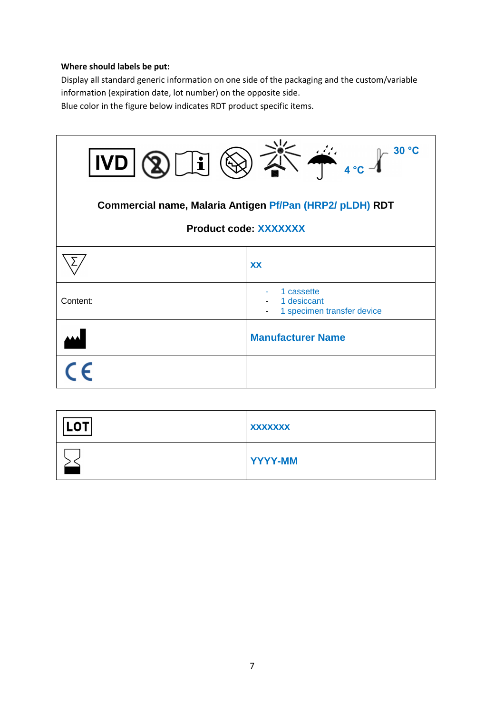# **Where should labels be put:**

Display all standard generic information on one side of the packaging and the custom/variable information (expiration date, lot number) on the opposite side.

Blue color in the figure below indicates RDT product specific items.

| 30 °C<br>$\begin{picture}(180,10) \put(0,0){\line(1,0){15}} \put(10,0){\line(1,0){15}} \put(10,0){\line(1,0){15}} \put(10,0){\line(1,0){15}} \put(10,0){\line(1,0){15}} \put(10,0){\line(1,0){15}} \put(10,0){\line(1,0){15}} \put(10,0){\line(1,0){15}} \put(10,0){\line(1,0){15}} \put(10,0){\line(1,0){15}} \put(10,0){\line(1,0){15}} \put(10,0){\line($<br>IVD<br>$2\sqrt{ \mathbf{i} }$ |                                                         |  |  |  |  |  |  |
|-----------------------------------------------------------------------------------------------------------------------------------------------------------------------------------------------------------------------------------------------------------------------------------------------------------------------------------------------------------------------------------------------|---------------------------------------------------------|--|--|--|--|--|--|
| Commercial name, Malaria Antigen Pf/Pan (HRP2/ pLDH) RDT<br><b>Product code: XXXXXXX</b>                                                                                                                                                                                                                                                                                                      |                                                         |  |  |  |  |  |  |
|                                                                                                                                                                                                                                                                                                                                                                                               | <b>XX</b>                                               |  |  |  |  |  |  |
| Content:                                                                                                                                                                                                                                                                                                                                                                                      | 1 cassette<br>1 desiccant<br>1 specimen transfer device |  |  |  |  |  |  |
|                                                                                                                                                                                                                                                                                                                                                                                               | <b>Manufacturer Name</b>                                |  |  |  |  |  |  |
|                                                                                                                                                                                                                                                                                                                                                                                               |                                                         |  |  |  |  |  |  |

| .OT' | <b>XXXXXXX</b> |
|------|----------------|
|      | <b>YYYY-MM</b> |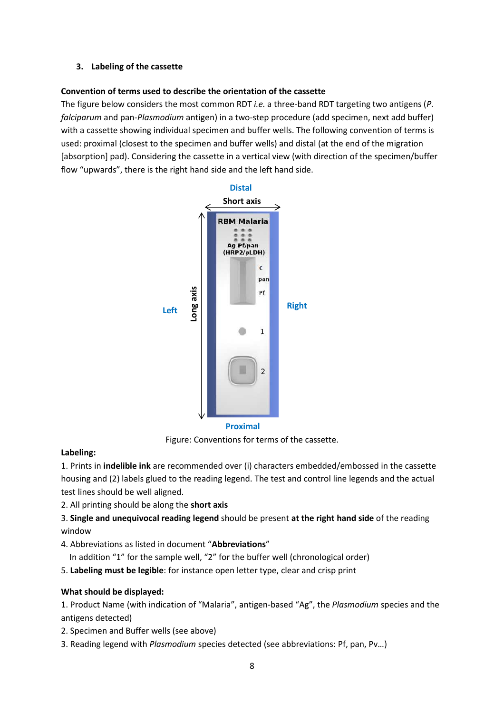#### **3. Labeling of the cassette**

#### **Convention of terms used to describe the orientation of the cassette**

The figure below considers the most common RDT *i.e.* a three-band RDT targeting two antigens (*P. falciparum* and pan-*Plasmodium* antigen) in a two-step procedure (add specimen, next add buffer) with a cassette showing individual specimen and buffer wells. The following convention of terms is used: proximal (closest to the specimen and buffer wells) and distal (at the end of the migration [absorption] pad). Considering the cassette in a vertical view (with direction of the specimen/buffer flow "upwards", there is the right hand side and the left hand side.



Figure: Conventions for terms of the cassette.

## **Labeling:**

1. Prints in **indelible ink** are recommended over (i) characters embedded/embossed in the cassette housing and (2) labels glued to the reading legend. The test and control line legends and the actual test lines should be well aligned.

- 2. All printing should be along the **short axis**
- 3. **Single and unequivocal reading legend** should be present **at the right hand side** of the reading window
- 4. Abbreviations as listed in document "**Abbreviations**"
- In addition "1" for the sample well, "2" for the buffer well (chronological order)
- 5. **Labeling must be legible**: for instance open letter type, clear and crisp print

## **What should be displayed:**

1. Product Name (with indication of "Malaria", antigen-based "Ag", the *Plasmodium* species and the antigens detected)

- 2. Specimen and Buffer wells (see above)
- 3. Reading legend with *Plasmodium* species detected (see abbreviations: Pf, pan, Pv…)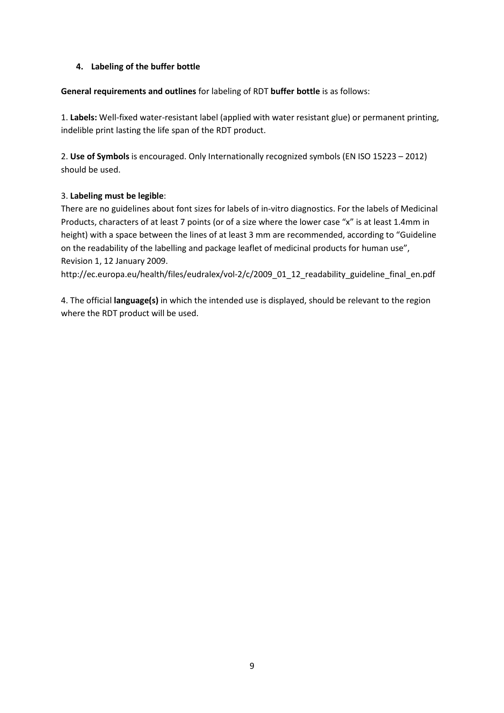## **4. Labeling of the buffer bottle**

**General requirements and outlines** for labeling of RDT **buffer bottle** is as follows:

1. **Labels:** Well-fixed water-resistant label (applied with water resistant glue) or permanent printing, indelible print lasting the life span of the RDT product.

2. **Use of Symbols** is encouraged. Only Internationally recognized symbols (EN ISO 15223 – 2012) should be used.

# 3. **Labeling must be legible**:

There are no guidelines about font sizes for labels of in-vitro diagnostics. For the labels of Medicinal Products, characters of at least 7 points (or of a size where the lower case "x" is at least 1.4mm in height) with a space between the lines of at least 3 mm are recommended, according to "Guideline on the readability of the labelling and package leaflet of medicinal products for human use", Revision 1, 12 January 2009.

http://ec.europa.eu/health/files/eudralex/vol-2/c/2009\_01\_12\_readability\_guideline\_final\_en.pdf

4. The official **language(s)** in which the intended use is displayed, should be relevant to the region where the RDT product will be used.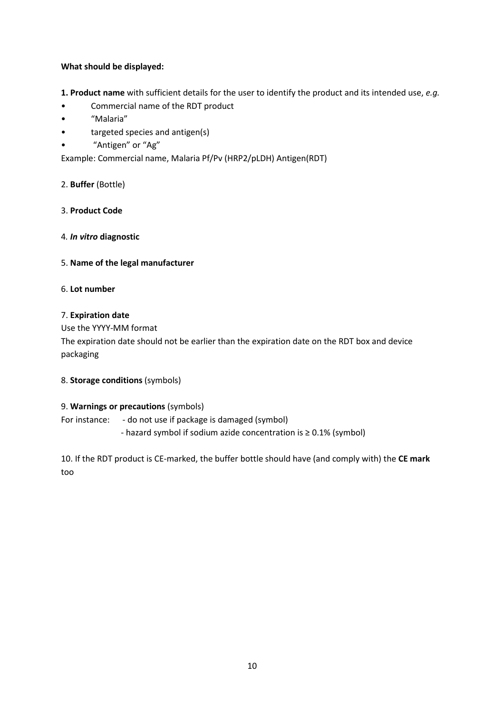## **What should be displayed:**

**1. Product name** with sufficient details for the user to identify the product and its intended use, *e.g.*

- Commercial name of the RDT product
- "Malaria"
- targeted species and antigen(s)
- "Antigen" or "Ag"

Example: Commercial name, Malaria Pf/Pv (HRP2/pLDH) Antigen(RDT)

## 2. **Buffer** (Bottle)

3. **Product Code** 

#### 4*. In vitro* **diagnostic**

#### 5. **Name of the legal manufacturer**

## 6. **Lot number**

#### 7. **Expiration date**

Use the YYYY-MM format

The expiration date should not be earlier than the expiration date on the RDT box and device packaging

#### 8. **Storage conditions** (symbols)

## 9. **Warnings or precautions** (symbols)

For instance: - do not use if package is damaged (symbol) - hazard symbol if sodium azide concentration is ≥ 0.1% (symbol)

10. If the RDT product is CE-marked, the buffer bottle should have (and comply with) the **CE mark** too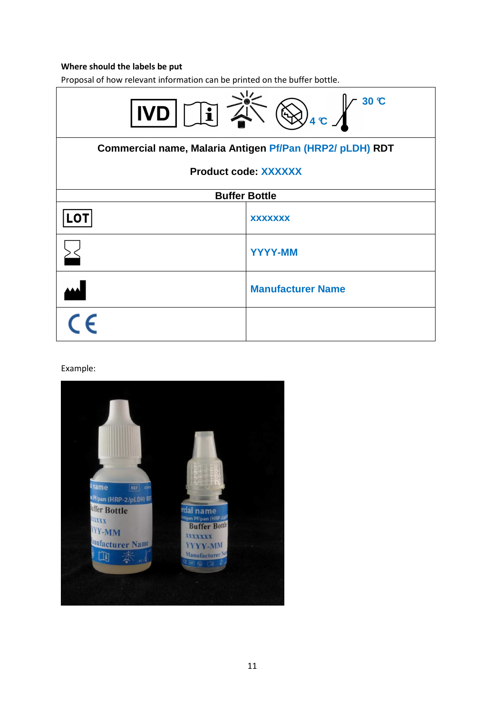## **Where should the labels be put**

Proposal of how relevant information can be printed on the buffer bottle.



#### Example: